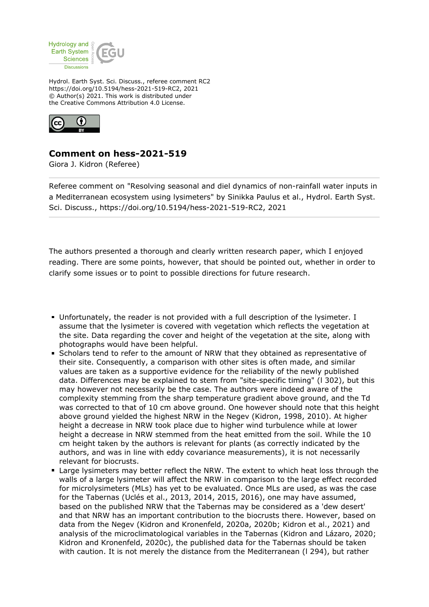

Hydrol. Earth Syst. Sci. Discuss., referee comment RC2 https://doi.org/10.5194/hess-2021-519-RC2, 2021 © Author(s) 2021. This work is distributed under the Creative Commons Attribution 4.0 License.



## **Comment on hess-2021-519**

Giora J. Kidron (Referee)

Referee comment on "Resolving seasonal and diel dynamics of non-rainfall water inputs in a Mediterranean ecosystem using lysimeters" by Sinikka Paulus et al., Hydrol. Earth Syst. Sci. Discuss., https://doi.org/10.5194/hess-2021-519-RC2, 2021

The authors presented a thorough and clearly written research paper, which I enjoyed reading. There are some points, however, that should be pointed out, whether in order to clarify some issues or to point to possible directions for future research.

- Unfortunately, the reader is not provided with a full description of the lysimeter. I assume that the lysimeter is covered with vegetation which reflects the vegetation at the site. Data regarding the cover and height of the vegetation at the site, along with photographs would have been helpful.
- Scholars tend to refer to the amount of NRW that they obtained as representative of their site. Consequently, a comparison with other sites is often made, and similar values are taken as a supportive evidence for the reliability of the newly published data. Differences may be explained to stem from "site-specific timing" (l 302), but this may however not necessarily be the case. The authors were indeed aware of the complexity stemming from the sharp temperature gradient above ground, and the Td was corrected to that of 10 cm above ground. One however should note that this height above ground yielded the highest NRW in the Negev (Kidron, 1998, 2010). At higher height a decrease in NRW took place due to higher wind turbulence while at lower height a decrease in NRW stemmed from the heat emitted from the soil. While the 10 cm height taken by the authors is relevant for plants (as correctly indicated by the authors, and was in line with eddy covariance measurements), it is not necessarily relevant for biocrusts.
- Large lysimeters may better reflect the NRW. The extent to which heat loss through the walls of a large lysimeter will affect the NRW in comparison to the large effect recorded for microlysimeters (MLs) has yet to be evaluated. Once MLs are used, as was the case for the Tabernas (Uclés et al., 2013, 2014, 2015, 2016), one may have assumed, based on the published NRW that the Tabernas may be considered as a 'dew desert' and that NRW has an important contribution to the biocrusts there. However, based on data from the Negev (Kidron and Kronenfeld, 2020a, 2020b; Kidron et al., 2021) and analysis of the microclimatological variables in the Tabernas (Kidron and Lázaro, 2020; Kidron and Kronenfeld, 2020c), the published data for the Tabernas should be taken with caution. It is not merely the distance from the Mediterranean (l 294), but rather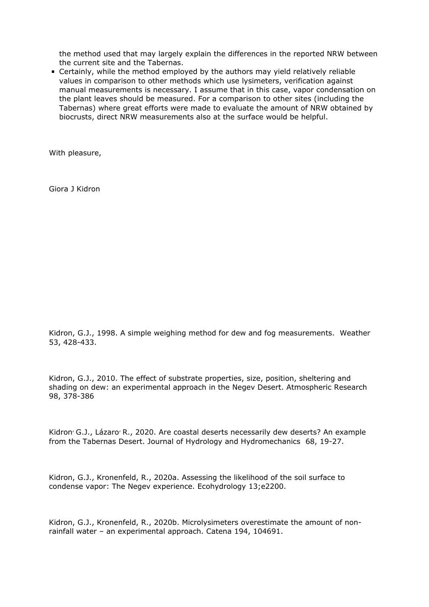the method used that may largely explain the differences in the reported NRW between the current site and the Tabernas.

Certainly, while the method employed by the authors may yield relatively reliable values in comparison to other methods which use lysimeters, verification against manual measurements is necessary. I assume that in this case, vapor condensation on the plant leaves should be measured. For a comparison to other sites (including the Tabernas) where great efforts were made to evaluate the amount of NRW obtained by biocrusts, direct NRW measurements also at the surface would be helpful.

With pleasure,

Giora J Kidron

Kidron, G.J., 1998. A simple weighing method for dew and fog measurements. Weather 53, 428-433.

Kidron, G.J., 2010. The effect of substrate properties, size, position, sheltering and shading on dew: an experimental approach in the Negev Desert. Atmospheric Research 98, 378-386

Kidron<sup>,</sup> G.J., Lázaro<sup>,</sup> R., 2020. Are coastal deserts necessarily dew deserts? An example from the Tabernas Desert. Journal of Hydrology and Hydromechanics 68, 19-27.

Kidron, G.J., Kronenfeld, R., 2020a. Assessing the likelihood of the soil surface to condense vapor: The Negev experience. Ecohydrology 13;e2200.

Kidron, G.J., Kronenfeld, R., 2020b. Microlysimeters overestimate the amount of nonrainfall water – an experimental approach. Catena 194, 104691.